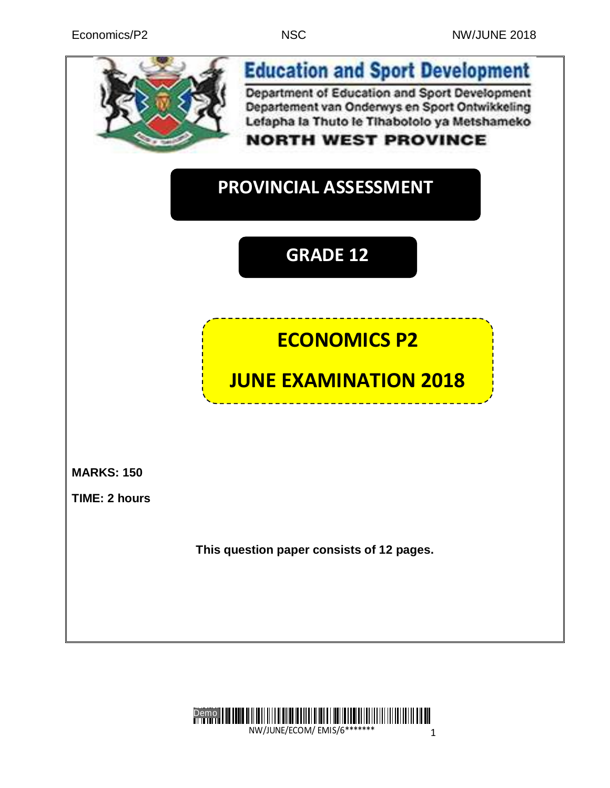

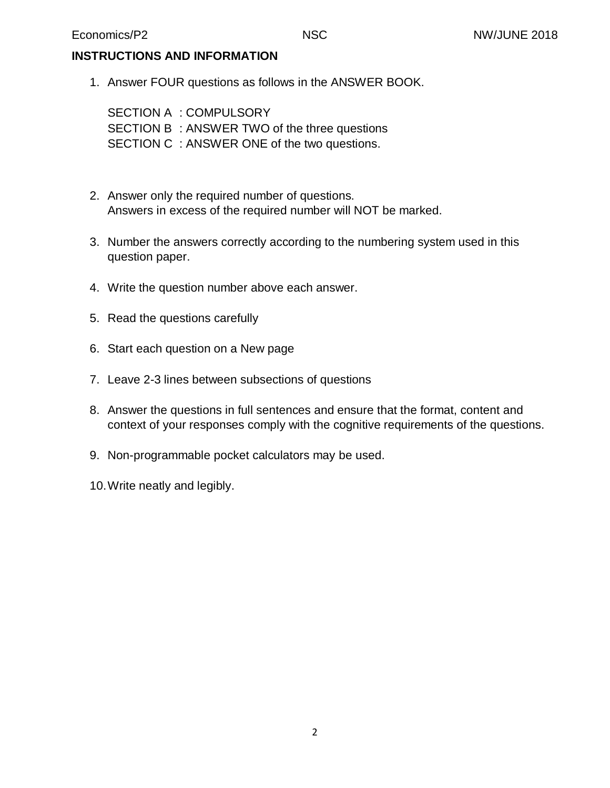## **INSTRUCTIONS AND INFORMATION**

1. Answer FOUR questions as follows in the ANSWER BOOK.

SECTION A : COMPULSORY SECTION B : ANSWER TWO of the three questions SECTION C : ANSWER ONE of the two questions.

- 2. Answer only the required number of questions. Answers in excess of the required number will NOT be marked.
- 3. Number the answers correctly according to the numbering system used in this question paper.
- 4. Write the question number above each answer.
- 5. Read the questions carefully
- 6. Start each question on a New page
- 7. Leave 2-3 lines between subsections of questions
- 8. Answer the questions in full sentences and ensure that the format, content and context of your responses comply with the cognitive requirements of the questions.
- 9. Non-programmable pocket calculators may be used.
- 10.Write neatly and legibly.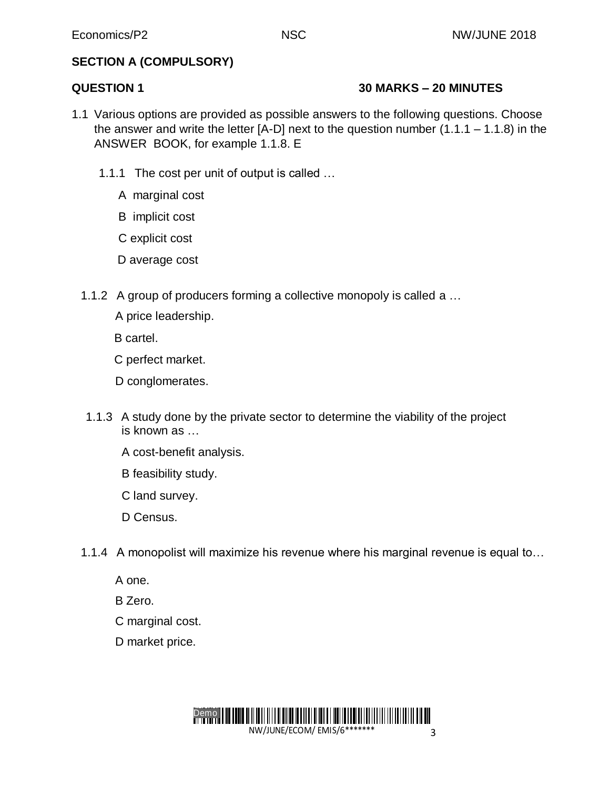## **SECTION A (COMPULSORY)**

## **QUESTION 1 30 MARKS – 20 MINUTES**

- 1.1 Various options are provided as possible answers to the following questions. Choose the answer and write the letter  $[A-D]$  next to the question number  $(1.1.1 - 1.1.8)$  in the ANSWER BOOK, for example 1.1.8. E
	- 1.1.1 The cost per unit of output is called …
		- A marginal cost
		- B implicit cost
		- C explicit cost
		- D average cost
	- 1.1.2 A group of producers forming a collective monopoly is called a …
		- A price leadership.
		- B cartel.
		- C perfect market.
		- D conglomerates.
	- 1.1.3 A study done by the private sector to determine the viability of the project is known as …
		- A cost-benefit analysis.
		- B feasibility study.
		- C land survey.
		- D Census.
	- 1.1.4 A monopolist will maximize his revenue where his marginal revenue is equal to…
		- A one.
		- B Zero.
		- C marginal cost.
		- D market price.

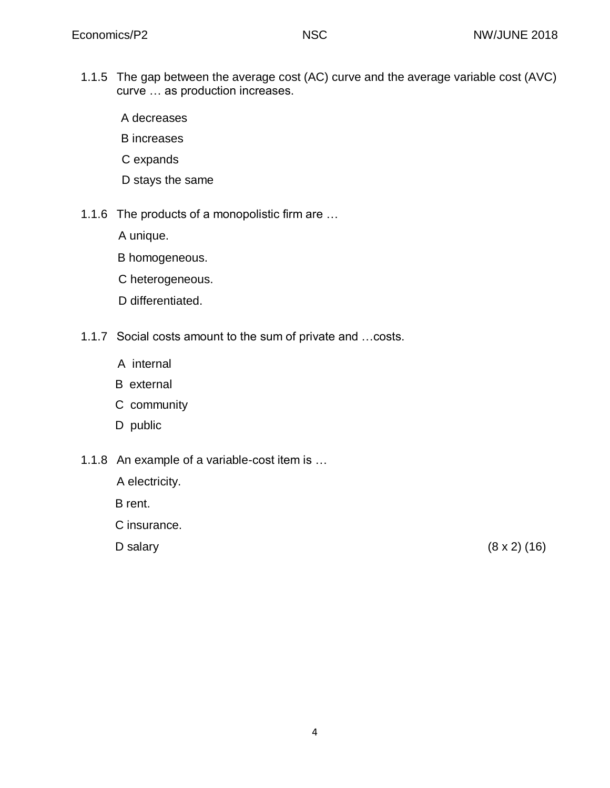1.1.5 The gap between the average cost (AC) curve and the average variable cost (AVC) curve … as production increases.

A decreases

- B increases
- C expands
- D stays the same
- 1.1.6 The products of a monopolistic firm are …
	- A unique.
	- B homogeneous.
	- C heterogeneous.
	- D differentiated.
- 1.1.7 Social costs amount to the sum of private and …costs.
	- A internal
	- B external
	- C community
	- D public
- 1.1.8 An example of a variable-cost item is …
	- A electricity.
	- B rent.
	- C insurance.
	-

D salary  $(8 \times 2) (16)$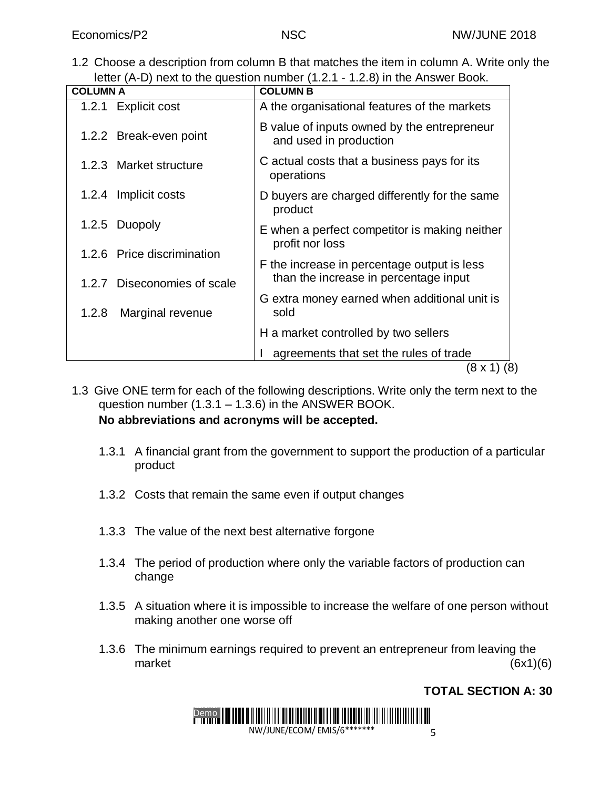1.2 Choose a description from column B that matches the item in column A. Write only the letter (A-D) next to the question number (1.2.1 - 1.2.8) in the Answer Book.

| <b>COLUMN A</b>             | <b>COLUMN B</b>                                                       |  |  |
|-----------------------------|-----------------------------------------------------------------------|--|--|
| 1.2.1 Explicit cost         | A the organisational features of the markets                          |  |  |
| 1.2.2 Break-even point      | B value of inputs owned by the entrepreneur<br>and used in production |  |  |
| 1.2.3 Market structure      | C actual costs that a business pays for its<br>operations             |  |  |
| 1.2.4 Implicit costs        | D buyers are charged differently for the same<br>product              |  |  |
| 1.2.5 Duopoly               | E when a perfect competitor is making neither<br>profit nor loss      |  |  |
| 1.2.6 Price discrimination  | F the increase in percentage output is less                           |  |  |
| 1.2.7 Diseconomies of scale | than the increase in percentage input                                 |  |  |
| 1.2.8<br>Marginal revenue   | G extra money earned when additional unit is<br>sold                  |  |  |
|                             | H a market controlled by two sellers                                  |  |  |
|                             | agreements that set the rules of trade                                |  |  |
| (8 x 1)<br>(8)              |                                                                       |  |  |

- 1.3 Give ONE term for each of the following descriptions. Write only the term next to the question number  $(1.3.1 - 1.3.6)$  in the ANSWER BOOK. **No abbreviations and acronyms will be accepted.**
	- 1.3.1 A financial grant from the government to support the production of a particular product
	- 1.3.2 Costs that remain the same even if output changes
	- 1.3.3 The value of the next best alternative forgone
	- 1.3.4 The period of production where only the variable factors of production can change
	- 1.3.5 A situation where it is impossible to increase the welfare of one person without making another one worse off
	- 1.3.6 The minimum earnings required to prevent an entrepreneur from leaving the market (6x1)(6)

# **TOTAL SECTION A: 30**

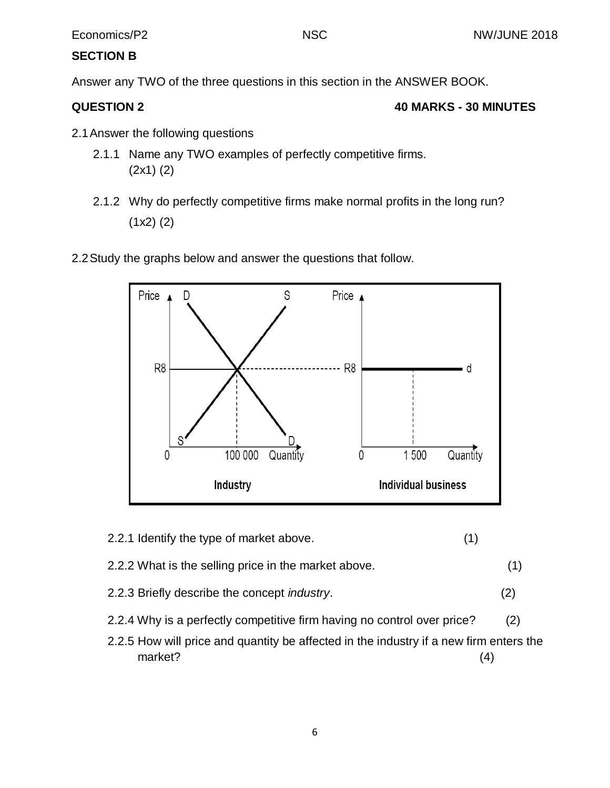## **SECTION B**

Answer any TWO of the three questions in this section in the ANSWER BOOK.

## **QUESTION 2 40 MARKS - 30 MINUTES**

- 2.1Answer the following questions
	- 2.1.1 Name any TWO examples of perfectly competitive firms. (2x1) (2)
	- 2.1.2 Why do perfectly competitive firms make normal profits in the long run? (1x2) (2)
- 2.2Study the graphs below and answer the questions that follow.



- 2.2.1 Identify the type of market above. (1)
- 2.2.2 What is the selling price in the market above. (1)
- 2.2.3 Briefly describe the concept *industry*. (2)
- 2.2.4 Why is a perfectly competitive firm having no control over price? (2)
- 2.2.5 How will price and quantity be affected in the industry if a new firm enters the market? (4)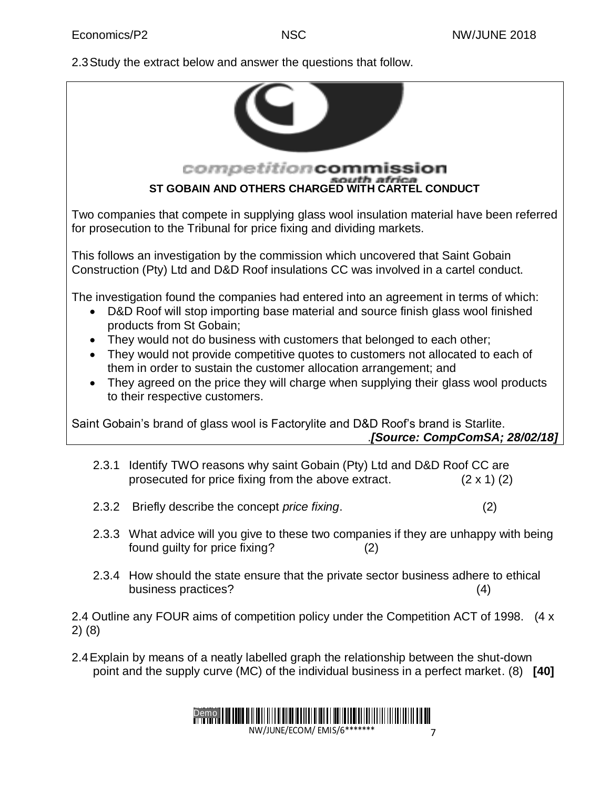2.3Study the extract below and answer the questions that follow.



- 2.3.3 What advice will you give to these two companies if they are unhappy with being found guilty for price fixing? (2)
- 2.3.4 How should the state ensure that the private sector business adhere to ethical business practices? (4)

2.4 Outline any FOUR aims of competition policy under the Competition ACT of 1998. (4 x 2) (8)

2.4Explain by means of a neatly labelled graph the relationship between the shut-down point and the supply curve (MC) of the individual business in a perfect market. (8) **[40]**

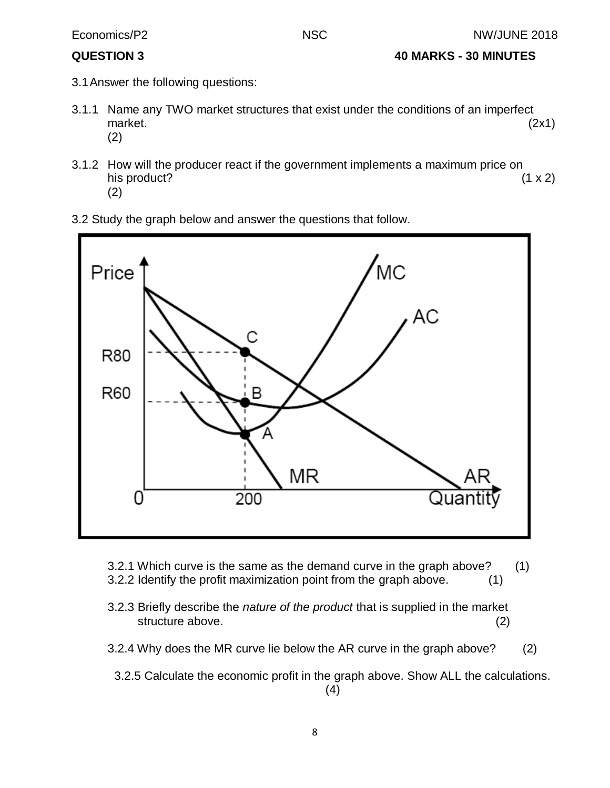- **QUESTION 3 40 MARKS - 30 MINUTES**
- 3.1Answer the following questions:
- 3.1.1 Name any TWO market structures that exist under the conditions of an imperfect market. (2x1) (2)
- 3.1.2 How will the producer react if the government implements a maximum price on his product?  $(1 \times 2)$ (2)
- 3.2 Study the graph below and answer the questions that follow.



- 3.2.1 Which curve is the same as the demand curve in the graph above? (1) 3.2.2 Identify the profit maximization point from the graph above. (1)
- 3.2.3 Briefly describe the *nature of the product* that is supplied in the market structure above. (2)
- 3.2.4 Why does the MR curve lie below the AR curve in the graph above? (2)
	- 3.2.5 Calculate the economic profit in the graph above. Show ALL the calculations. (4)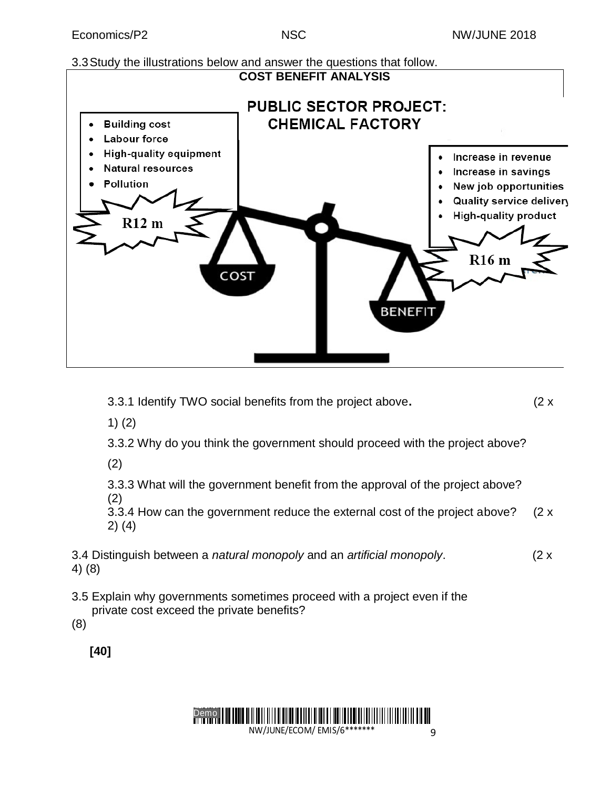# 3.3Study the illustrations below and answer the questions that follow.



3.3.1 Identify TWO social benefits from the project above**.** (2 x

1) (2)

3.3.2 Why do you think the government should proceed with the project above?

(2)

3.3.3 What will the government benefit from the approval of the project above? (2)

3.3.4 How can the government reduce the external cost of the project above? (2 x 2) (4)

3.4 Distinguish between a *natural monopoly* and an *artificial monopoly*. (2 x 4) (8)

3.5 Explain why governments sometimes proceed with a project even if the private cost exceed the private benefits?

(8)

**[40]**

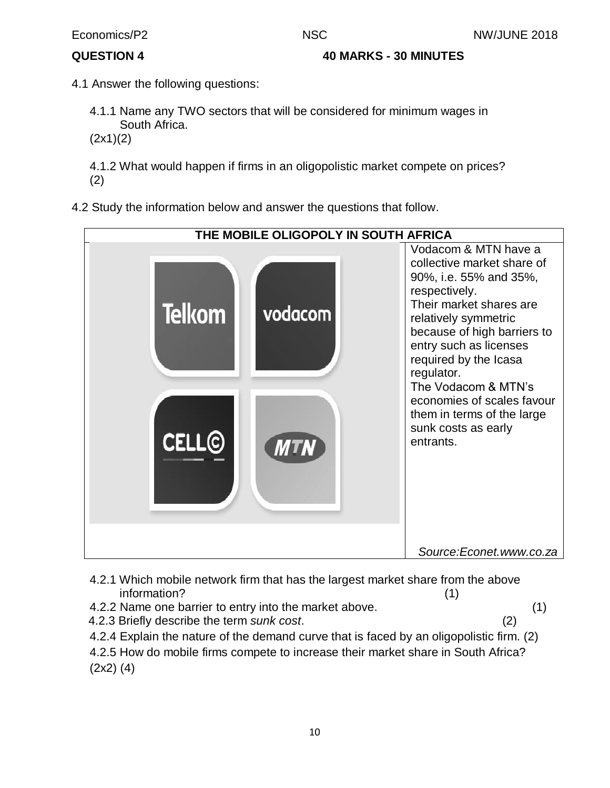**QUESTION 4 40 MARKS - 30 MINUTES** 

- 4.1 Answer the following questions:
	- 4.1.1 Name any TWO sectors that will be considered for minimum wages in South Africa.
	- (2x1)(2)

4.1.2 What would happen if firms in an oligopolistic market compete on prices? (2)

4.2 Study the information below and answer the questions that follow.



- 4.2.1 Which mobile network firm that has the largest market share from the above information? (1)
- 4.2.2 Name one barrier to entry into the market above. (1)
- 4.2.3 Briefly describe the term *sunk cost*. (2)
- 4.2.4 Explain the nature of the demand curve that is faced by an oligopolistic firm. (2)
- 4.2.5 How do mobile firms compete to increase their market share in South Africa? (2x2) (4)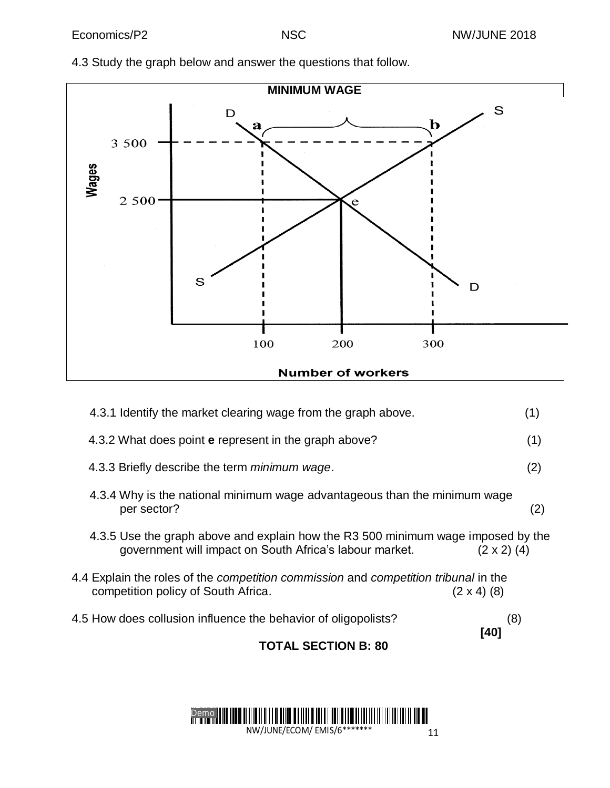

4.3 Study the graph below and answer the questions that follow.

**Number of workers** 

| <b>TOTAL SECTION B: 80</b>                                                                                                                                        |     |
|-------------------------------------------------------------------------------------------------------------------------------------------------------------------|-----|
| 4.5 How does collusion influence the behavior of oligopolists?<br>(8)<br>[40]                                                                                     |     |
| 4.4 Explain the roles of the <i>competition commission</i> and <i>competition tribunal</i> in the<br>$(2 \times 4)$ (8)<br>competition policy of South Africa.    |     |
| 4.3.5 Use the graph above and explain how the R3 500 minimum wage imposed by the<br>government will impact on South Africa's labour market.<br>$(2 \times 2)$ (4) |     |
| 4.3.4 Why is the national minimum wage advantageous than the minimum wage<br>per sector?                                                                          | (2) |
| 4.3.3 Briefly describe the term <i>minimum wage.</i>                                                                                                              | (2) |
| 4.3.2 What does point <b>e</b> represent in the graph above?                                                                                                      | (1) |
| 4.3.1 Identify the market clearing wage from the graph above.                                                                                                     | (1) |